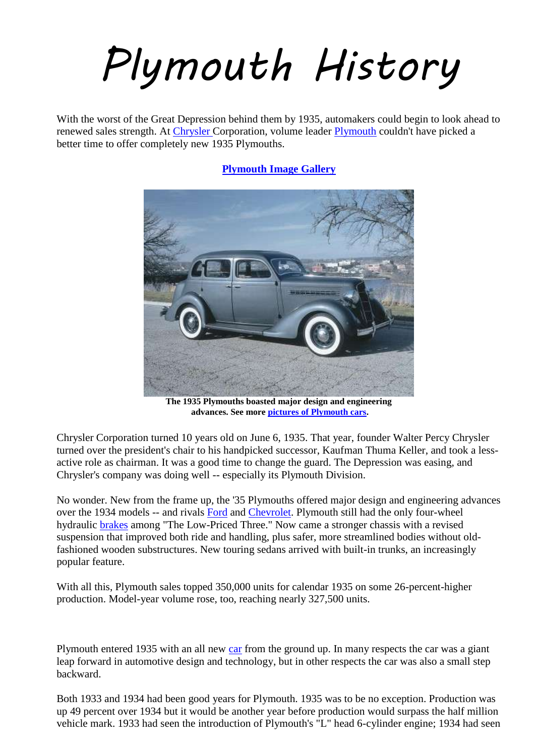## *Plymouth History*

With the worst of the Great Depression behind them by 1935, automakers could begin to look ahead to renewed sales strength. At [Chrysler C](http://auto.howstuffworks.com/chrysler.htm)orporation, volume leader [Plymouth](http://auto.howstuffworks.com/plymouth-cars.htm) couldn't have picked a better time to offer completely new 1935 Plymouths.

**[Plymouth Image Gallery](http://auto.howstuffworks.com/enlarge-image.htm?terms=Plymouth&page=0&gallery=1)**



**The 1935 Plymouths boasted major design and engineering advances. See more [pictures of Plymouth cars.](http://auto.howstuffworks.com/enlarge-image.htm?terms=Plymouth&page=0&gallery=1)**

Chrysler Corporation turned 10 years old on June 6, 1935. That year, founder Walter Percy Chrysler turned over the president's chair to his handpicked successor, Kaufman Thuma Keller, and took a lessactive role as chairman. It was a good time to change the guard. The Depression was easing, and Chrysler's company was doing well -- especially its Plymouth Division.

No wonder. New from the frame up, the '35 Plymouths offered major design and engineering advances over the 1934 models -- and rivals [Ford](http://auto.howstuffworks.com/ford.htm) and [Chevrolet.](http://auto.howstuffworks.com/chevrolet.htm) Plymouth still had the only four-wheel hydraulic [brakes](http://auto.howstuffworks.com/brake.htm) among "The Low-Priced Three." Now came a stronger chassis with a revised suspension that improved both ride and handling, plus safer, more streamlined bodies without oldfashioned wooden substructures. New touring sedans arrived with built-in trunks, an increasingly popular feature.

With all this, Plymouth sales topped 350,000 units for calendar 1935 on some 26-percent-higher production. Model-year volume rose, too, reaching nearly 327,500 units.

Plymouth entered 1935 with an all new [car](http://www.allpar.com/history/plymouth/1935.html##) from the ground up. In many respects the car was a giant leap forward in automotive design and technology, but in other respects the car was also a small step backward.

Both 1933 and 1934 had been good years for Plymouth. 1935 was to be no exception. Production was up 49 percent over 1934 but it would be another year before production would surpass the half million vehicle mark. 1933 had seen the introduction of Plymouth's "L" head 6-cylinder engine; 1934 had seen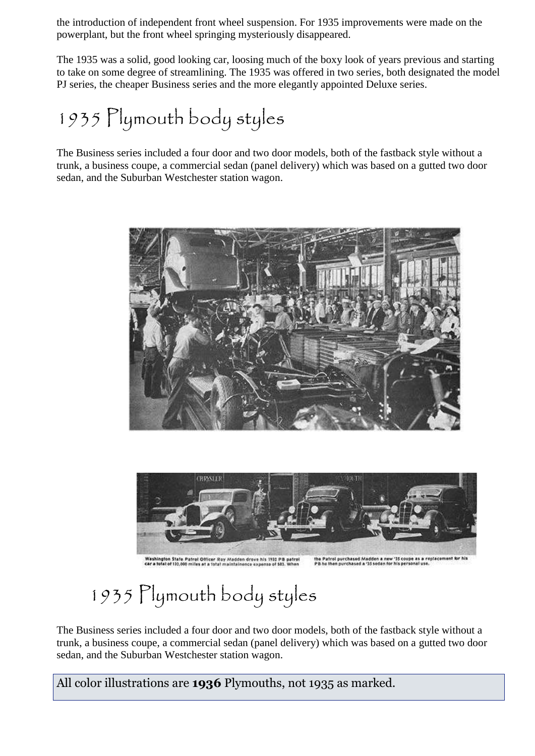the introduction of independent front wheel suspension. For 1935 improvements were made on the powerplant, but the front wheel springing mysteriously disappeared.

The 1935 was a solid, good looking car, loosing much of the boxy look of years previous and starting to take on some degree of streamlining. The 1935 was offered in two series, both designated the model PJ series, the cheaper Business series and the more elegantly appointed Deluxe series.

## 1935 Plymouth body styles

The Business series included a four door and two door models, both of the fastback style without a trunk, a business coupe, a commercial sedan (panel delivery) which was based on a gutted two door sedan, and the Suburban Westchester station wagon.





Washington State Patrol Officer Roy Madden drove his 1932 PB patrol<br>car a total of 132,000 miles at a total maintainence expense of \$83. When the Patrol purchased Madden a new '35 coupe as a replacement for hit<br>PB he then purchased a '35 sedan for his personal use.

## 1935 Plymouth body styles

The Business series included a four door and two door models, both of the fastback style without a trunk, a business coupe, a commercial sedan (panel delivery) which was based on a gutted two door sedan, and the Suburban Westchester station wagon.

All color illustrations are **1936** Plymouths, not 1935 as marked.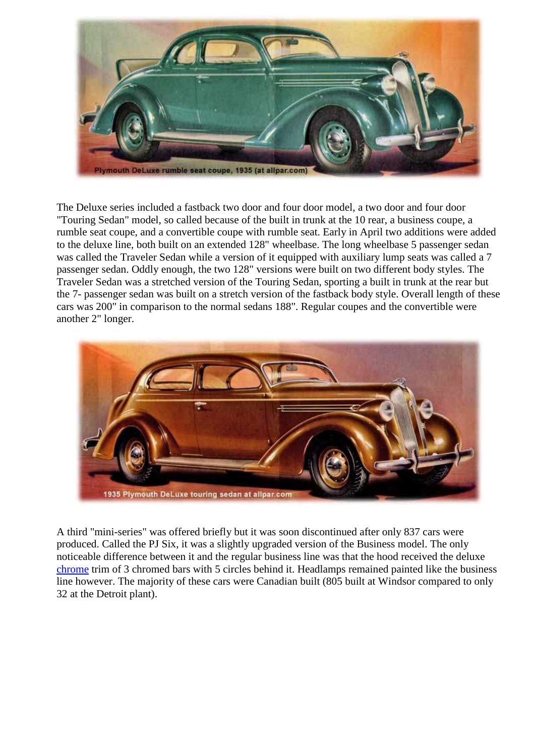

The Deluxe series included a fastback two door and four door model, a two door and four door "Touring Sedan" model, so called because of the built in trunk at the 10 rear, a business coupe, a rumble seat coupe, and a convertible coupe with rumble seat. Early in April two additions were added to the deluxe line, both built on an extended 128" wheelbase. The long wheelbase 5 passenger sedan was called the Traveler Sedan while a version of it equipped with auxiliary lump seats was called a 7 passenger sedan. Oddly enough, the two 128" versions were built on two different body styles. The Traveler Sedan was a stretched version of the Touring Sedan, sporting a built in trunk at the rear but the 7- passenger sedan was built on a stretch version of the fastback body style. Overall length of these cars was 200" in comparison to the normal sedans 188". Regular coupes and the convertible were another 2" longer.



A third "mini-series" was offered briefly but it was soon discontinued after only 837 cars were produced. Called the PJ Six, it was a slightly upgraded version of the Business model. The only noticeable difference between it and the regular business line was that the hood received the deluxe [chrome](http://www.allpar.com/history/plymouth/1935.html##) trim of 3 chromed bars with 5 circles behind it. Headlamps remained painted like the business line however. The majority of these cars were Canadian built (805 built at Windsor compared to only 32 at the Detroit plant).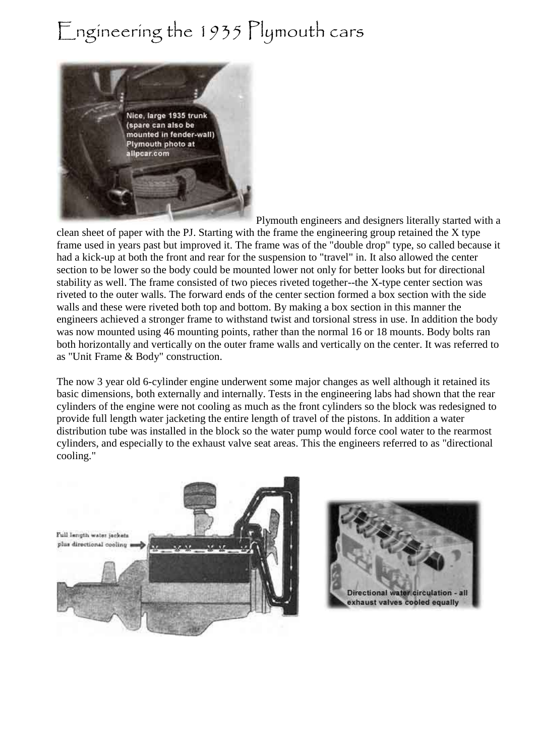## Engineering the 1935 Plymouth cars



Plymouth engineers and designers literally started with a

clean sheet of paper with the PJ. Starting with the frame the engineering group retained the X type frame used in years past but improved it. The frame was of the "double drop" type, so called because it had a kick-up at both the front and rear for the suspension to "travel" in. It also allowed the center section to be lower so the body could be mounted lower not only for better looks but for directional stability as well. The frame consisted of two pieces riveted together--the X-type center section was riveted to the outer walls. The forward ends of the center section formed a box section with the side walls and these were riveted both top and bottom. By making a box section in this manner the engineers achieved a stronger frame to withstand twist and torsional stress in use. In addition the body was now mounted using 46 mounting points, rather than the normal 16 or 18 mounts. Body bolts ran both horizontally and vertically on the outer frame walls and vertically on the center. It was referred to as "Unit Frame & Body" construction.

The now 3 year old 6-cylinder engine underwent some major changes as well although it retained its basic dimensions, both externally and internally. Tests in the engineering labs had shown that the rear cylinders of the engine were not cooling as much as the front cylinders so the block was redesigned to provide full length water jacketing the entire length of travel of the pistons. In addition a water distribution tube was installed in the block so the water pump would force cool water to the rearmost cylinders, and especially to the exhaust valve seat areas. This the engineers referred to as "directional cooling."



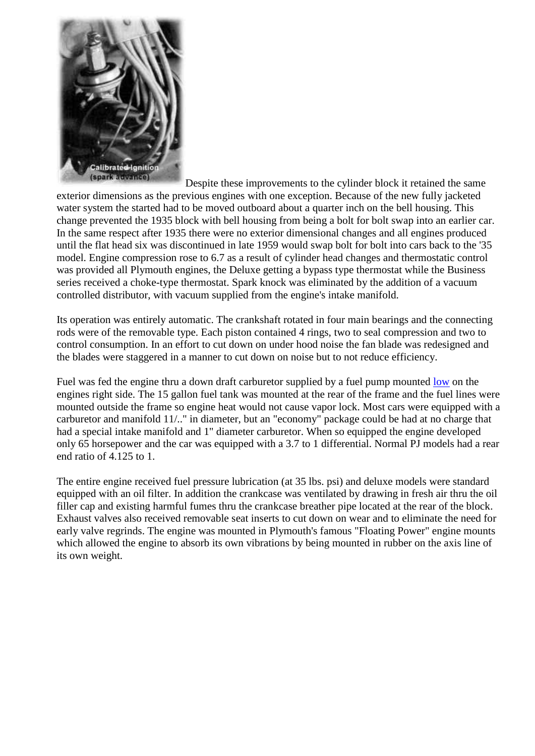

Despite these improvements to the cylinder block it retained the same exterior dimensions as the previous engines with one exception. Because of the new fully jacketed water system the started had to be moved outboard about a quarter inch on the bell housing. This change prevented the 1935 block with bell housing from being a bolt for bolt swap into an earlier car. In the same respect after 1935 there were no exterior dimensional changes and all engines produced until the flat head six was discontinued in late 1959 would swap bolt for bolt into cars back to the '35 model. Engine compression rose to 6.7 as a result of cylinder head changes and thermostatic control was provided all Plymouth engines, the Deluxe getting a bypass type thermostat while the Business series received a choke-type thermostat. Spark knock was eliminated by the addition of a vacuum controlled distributor, with vacuum supplied from the engine's intake manifold.

Its operation was entirely automatic. The crankshaft rotated in four main bearings and the connecting rods were of the removable type. Each piston contained 4 rings, two to seal compression and two to control consumption. In an effort to cut down on under hood noise the fan blade was redesigned and the blades were staggered in a manner to cut down on noise but to not reduce efficiency.

Fuel was fed the engine thru a down draft carburetor supplied by a fuel pump mounted [low](http://www.allpar.com/history/plymouth/1935.html##) on the engines right side. The 15 gallon fuel tank was mounted at the rear of the frame and the fuel lines were mounted outside the frame so engine heat would not cause vapor lock. Most cars were equipped with a carburetor and manifold 11/.." in diameter, but an "economy" package could be had at no charge that had a special intake manifold and 1" diameter carburetor. When so equipped the engine developed only 65 horsepower and the car was equipped with a 3.7 to 1 differential. Normal PJ models had a rear end ratio of 4.125 to 1.

The entire engine received fuel pressure lubrication (at 35 lbs. psi) and deluxe models were standard equipped with an oil filter. In addition the crankcase was ventilated by drawing in fresh air thru the oil filler cap and existing harmful fumes thru the crankcase breather pipe located at the rear of the block. Exhaust valves also received removable seat inserts to cut down on wear and to eliminate the need for early valve regrinds. The engine was mounted in Plymouth's famous "Floating Power" engine mounts which allowed the engine to absorb its own vibrations by being mounted in rubber on the axis line of its own weight.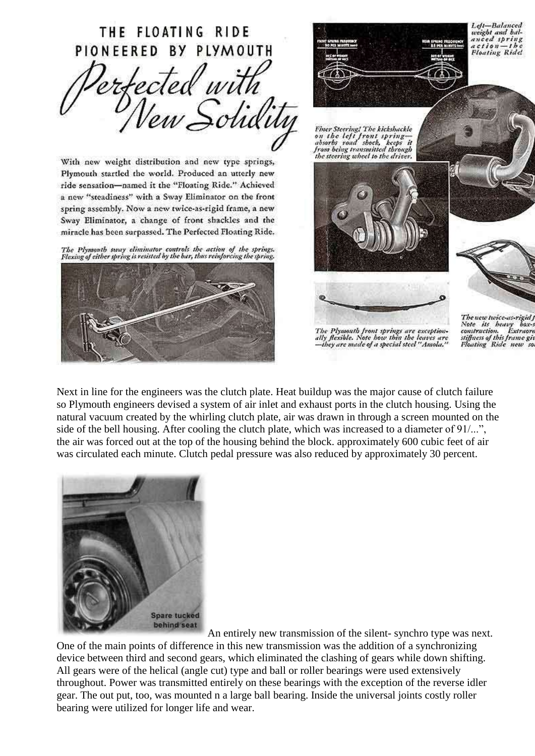

Next in line for the engineers was the clutch plate. Heat buildup was the major cause of clutch failure so Plymouth engineers devised a system of air inlet and exhaust ports in the clutch housing. Using the natural vacuum created by the whirling clutch plate, air was drawn in through a screen mounted on the side of the bell housing. After cooling the clutch plate, which was increased to a diameter of 91/...", the air was forced out at the top of the housing behind the block. approximately 600 cubic feet of air was circulated each minute. Clutch pedal pressure was also reduced by approximately 30 percent.



An entirely new transmission of the silent- synchro type was next. One of the main points of difference in this new transmission was the addition of a synchronizing device between third and second gears, which eliminated the clashing of gears while down shifting. All gears were of the helical (angle cut) type and ball or roller bearings were used extensively throughout. Power was transmitted entirely on these bearings with the exception of the reverse idler gear. The out put, too, was mounted n a large ball bearing. Inside the universal joints costly roller bearing were utilized for longer life and wear.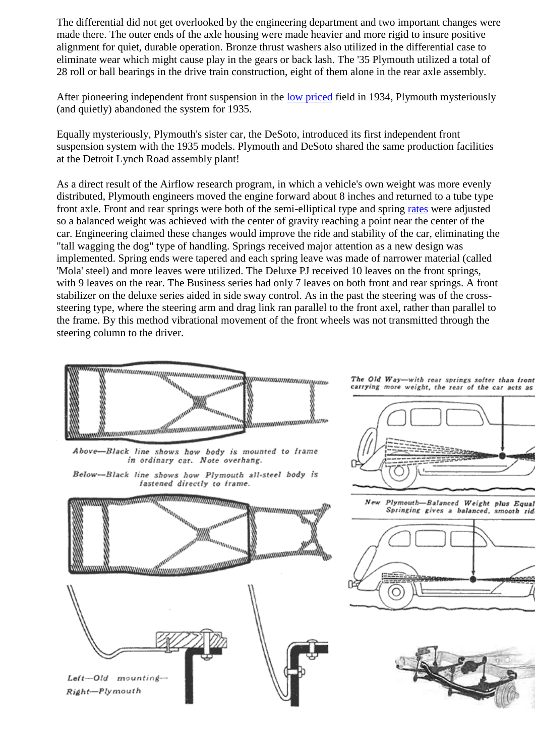The differential did not get overlooked by the engineering department and two important changes were made there. The outer ends of the axle housing were made heavier and more rigid to insure positive alignment for quiet, durable operation. Bronze thrust washers also utilized in the differential case to eliminate wear which might cause play in the gears or back lash. The '35 Plymouth utilized a total of 28 roll or ball bearings in the drive train construction, eight of them alone in the rear axle assembly.

After pioneering independent front suspension in the [low priced](http://www.allpar.com/history/plymouth/1935.html##) field in 1934, Plymouth mysteriously (and quietly) abandoned the system for 1935.

Equally mysteriously, Plymouth's sister car, the DeSoto, introduced its first independent front suspension system with the 1935 models. Plymouth and DeSoto shared the same production facilities at the Detroit Lynch Road assembly plant!

As a direct result of the Airflow research program, in which a vehicle's own weight was more evenly distributed, Plymouth engineers moved the engine forward about 8 inches and returned to a tube type front axle. Front and rear springs were both of the semi-elliptical type and spring [rates](http://www.allpar.com/history/plymouth/1935.html##) were adjusted so a balanced weight was achieved with the center of gravity reaching a point near the center of the car. Engineering claimed these changes would improve the ride and stability of the car, eliminating the "tall wagging the dog" type of handling. Springs received major attention as a new design was implemented. Spring ends were tapered and each spring leave was made of narrower material (called 'Mola' steel) and more leaves were utilized. The Deluxe PJ received 10 leaves on the front springs, with 9 leaves on the rear. The Business series had only 7 leaves on both front and rear springs. A front stabilizer on the deluxe series aided in side sway control. As in the past the steering was of the crosssteering type, where the steering arm and drag link ran parallel to the front axel, rather than parallel to the frame. By this method vibrational movement of the front wheels was not transmitted through the steering column to the driver.





The Old Way-with rear springs softer than front carrying more weight, the rear of the car acts as



Plymouth-Balanced Weight plus Equal New Springing gives a balanced, smooth rid



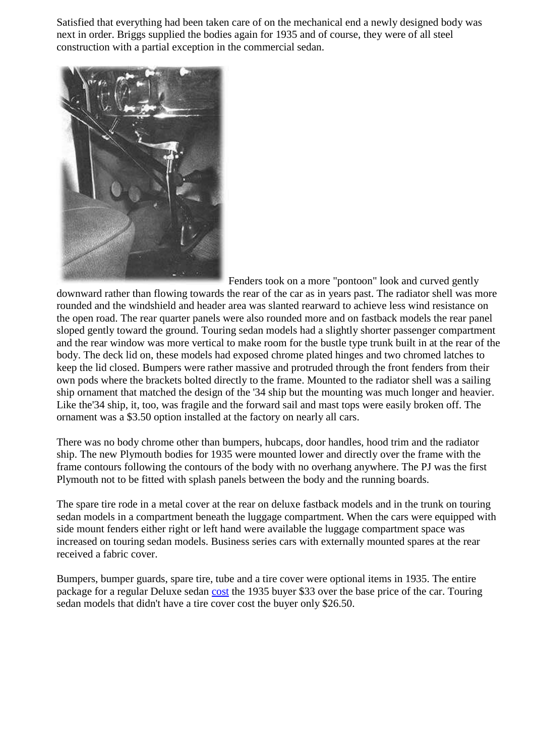Satisfied that everything had been taken care of on the mechanical end a newly designed body was next in order. Briggs supplied the bodies again for 1935 and of course, they were of all steel construction with a partial exception in the commercial sedan.



Fenders took on a more "pontoon" look and curved gently downward rather than flowing towards the rear of the car as in years past. The radiator shell was more rounded and the windshield and header area was slanted rearward to achieve less wind resistance on the open road. The rear quarter panels were also rounded more and on fastback models the rear panel sloped gently toward the ground. Touring sedan models had a slightly shorter passenger compartment and the rear window was more vertical to make room for the bustle type trunk built in at the rear of the body. The deck lid on, these models had exposed chrome plated hinges and two chromed latches to keep the lid closed. Bumpers were rather massive and protruded through the front fenders from their own pods where the brackets bolted directly to the frame. Mounted to the radiator shell was a sailing ship ornament that matched the design of the '34 ship but the mounting was much longer and heavier. Like the'34 ship, it, too, was fragile and the forward sail and mast tops were easily broken off. The ornament was a \$3.50 option installed at the factory on nearly all cars.

There was no body chrome other than bumpers, hubcaps, door handles, hood trim and the radiator ship. The new Plymouth bodies for 1935 were mounted lower and directly over the frame with the frame contours following the contours of the body with no overhang anywhere. The PJ was the first Plymouth not to be fitted with splash panels between the body and the running boards.

The spare tire rode in a metal cover at the rear on deluxe fastback models and in the trunk on touring sedan models in a compartment beneath the luggage compartment. When the cars were equipped with side mount fenders either right or left hand were available the luggage compartment space was increased on touring sedan models. Business series cars with externally mounted spares at the rear received a fabric cover.

Bumpers, bumper guards, spare tire, tube and a tire cover were optional items in 1935. The entire package for a regular Deluxe sedan [cost](http://www.allpar.com/history/plymouth/1935.html##) the 1935 buyer \$33 over the base price of the car. Touring sedan models that didn't have a tire cover cost the buyer only \$26.50.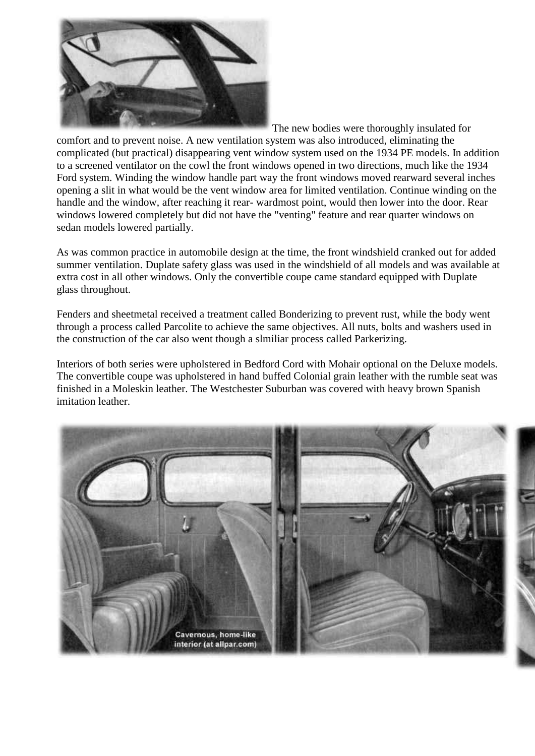

The new bodies were thoroughly insulated for

comfort and to prevent noise. A new ventilation system was also introduced, eliminating the complicated (but practical) disappearing vent window system used on the 1934 PE models. In addition to a screened ventilator on the cowl the front windows opened in two directions, much like the 1934 Ford system. Winding the window handle part way the front windows moved rearward several inches opening a slit in what would be the vent window area for limited ventilation. Continue winding on the handle and the window, after reaching it rear- wardmost point, would then lower into the door. Rear windows lowered completely but did not have the "venting" feature and rear quarter windows on sedan models lowered partially.

As was common practice in automobile design at the time, the front windshield cranked out for added summer ventilation. Duplate safety glass was used in the windshield of all models and was available at extra cost in all other windows. Only the convertible coupe came standard equipped with Duplate glass throughout.

Fenders and sheetmetal received a treatment called Bonderizing to prevent rust, while the body went through a process called Parcolite to achieve the same objectives. All nuts, bolts and washers used in the construction of the car also went though a slmiliar process called Parkerizing.

Interiors of both series were upholstered in Bedford Cord with Mohair optional on the Deluxe models. The convertible coupe was upholstered in hand buffed Colonial grain leather with the rumble seat was finished in a Moleskin leather. The Westchester Suburban was covered with heavy brown Spanish imitation leather

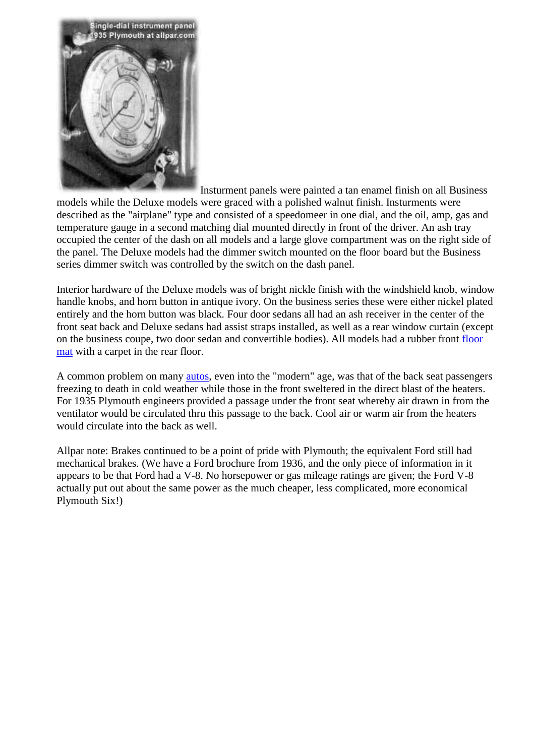

Insturment panels were painted a tan enamel finish on all Business models while the Deluxe models were graced with a polished walnut finish. Insturments were described as the "airplane" type and consisted of a speedomeer in one dial, and the oil, amp, gas and temperature gauge in a second matching dial mounted directly in front of the driver. An ash tray occupied the center of the dash on all models and a large glove compartment was on the right side of the panel. The Deluxe models had the dimmer switch mounted on the floor board but the Business series dimmer switch was controlled by the switch on the dash panel.

Interior hardware of the Deluxe models was of bright nickle finish with the windshield knob, window handle knobs, and horn button in antique ivory. On the business series these were either nickel plated entirely and the horn button was black. Four door sedans all had an ash receiver in the center of the front seat back and Deluxe sedans had assist straps installed, as well as a rear window curtain (except on the business coupe, two door sedan and convertible bodies). All models had a rubber front [floor](http://www.allpar.com/history/plymouth/1935.html##)  [mat](http://www.allpar.com/history/plymouth/1935.html##) with a carpet in the rear floor.

A common problem on many [autos,](http://www.allpar.com/history/plymouth/1935.html##) even into the "modern" age, was that of the back seat passengers freezing to death in cold weather while those in the front sweltered in the direct blast of the heaters. For 1935 Plymouth engineers provided a passage under the front seat whereby air drawn in from the ventilator would be circulated thru this passage to the back. Cool air or warm air from the heaters would circulate into the back as well.

Allpar note: Brakes continued to be a point of pride with Plymouth; the equivalent Ford still had mechanical brakes. (We have a Ford brochure from 1936, and the only piece of information in it appears to be that Ford had a V-8. No horsepower or gas mileage ratings are given; the Ford V-8 actually put out about the same power as the much cheaper, less complicated, more economical Plymouth Six!)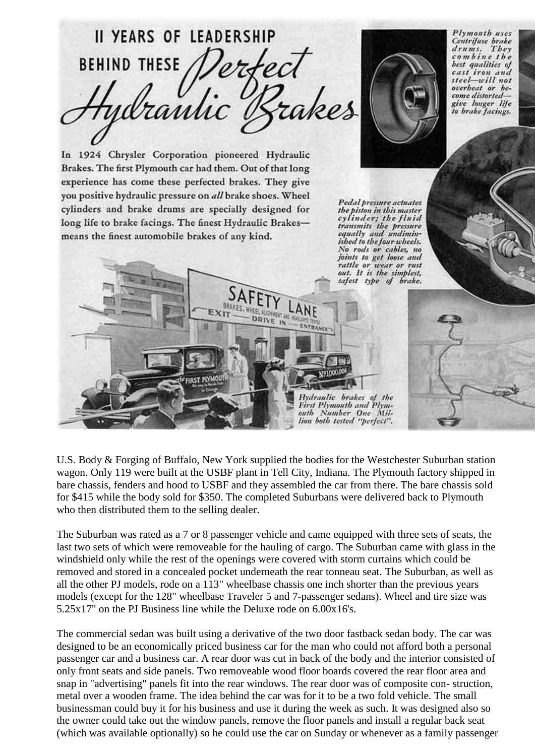

U.S. Body & Forging of Buffalo, New York supplied the bodies for the Westchester Suburban station wagon. Only 119 were built at the USBF plant in Tell City, Indiana. The Plymouth factory shipped in bare chassis, fenders and hood to USBF and they assembled the car from there. The bare chassis sold for \$415 while the body sold for \$350. The completed Suburbans were delivered back to Plymouth who then distributed them to the selling dealer.

The Suburban was rated as a 7 or 8 passenger vehicle and came equipped with three sets of seats, the last two sets of which were removeable for the hauling of cargo. The Suburban came with glass in the windshield only while the rest of the openings were covered with storm curtains which could be removed and stored in a concealed pocket underneath the rear tonneau seat. The Suburban, as well as all the other PJ models, rode on a 113" wheelbase chassis one inch shorter than the previous years models (except for the 128" wheelbase Traveler 5 and 7-passenger sedans). Wheel and tire size was 5.25x17" on the PJ Business line while the Deluxe rode on 6.00x16's.

The commercial sedan was built using a derivative of the two door fastback sedan body. The car was designed to be an economically priced business car for the man who could not afford both a personal passenger car and a business car. A rear door was cut in back of the body and the interior consisted of only front seats and side panels. Two removeable wood floor boards covered the rear floor area and snap in "advertising" panels fit into the rear windows. The rear door was of composite con- struction, metal over a wooden frame. The idea behind the car was for it to be a two fold vehicle. The small businessman could buy it for his business and use it during the week as such. It was designed also so the owner could take out the window panels, remove the floor panels and install a regular back seat (which was available optionally) so he could use the car on Sunday or whenever as a family passenger